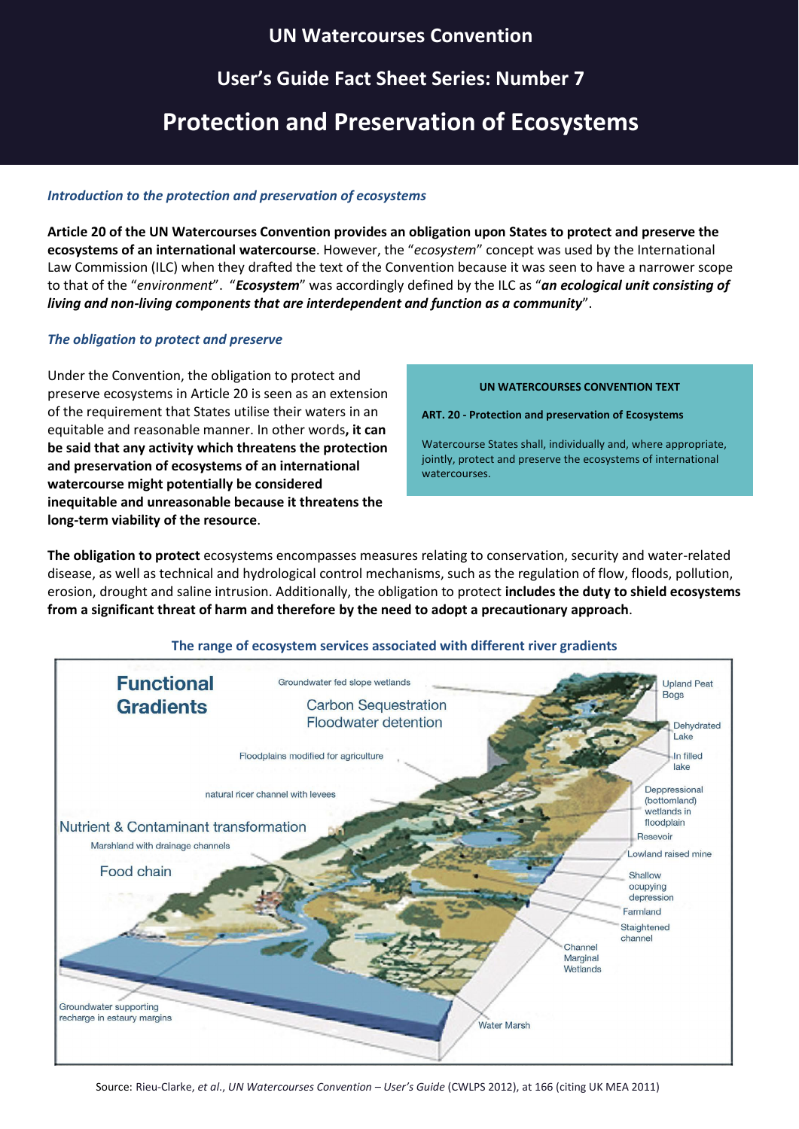## **UN Watercourses Convention**

## **User's Guide Fact Sheet Series: Number 7**

# **Protection and Preservation of Ecosystems**

### *Introduction to the protection and preservation of ecosystems*

**Article 20 of the UN Watercourses Convention provides an obligation upon States to protect and preserve the ecosystems of an international watercourse**. However, the "*ecosystem*" concept was used by the International Law Commission (ILC) when they drafted the text of the Convention because it was seen to have a narrower scope to that of the "*environment*". "*Ecosystem*" was accordingly defined by the ILC as "*an ecological unit consisting of living and non-living components that are interdependent and function as a community*".

## *The obligation to protect and preserve*

Under the Convention, the obligation to protect and preserve ecosystems in Article 20 is seen as an extension of the requirement that States utilise their waters in an equitable and reasonable manner. In other words**, it can be said that any activity which threatens the protection and preservation of ecosystems of an international watercourse might potentially be considered inequitable and unreasonable because it threatens the long-term viability of the resource**.

#### **UN WATERCOURSES CONVENTION TEXT**

**ART. 20 - Protection and preservation of Ecosystems**

Watercourse States shall, individually and, where appropriate, jointly, protect and preserve the ecosystems of international watercourses.

**The obligation to protect** ecosystems encompasses measures relating to conservation, security and water-related disease, as well as technical and hydrological control mechanisms, such as the regulation of flow, floods, pollution, erosion, drought and saline intrusion. Additionally, the obligation to protect **includes the duty to shield ecosystems from a significant threat of harm and therefore by the need to adopt a precautionary approach**.

## **The range of ecosystem services associated with different river gradients**